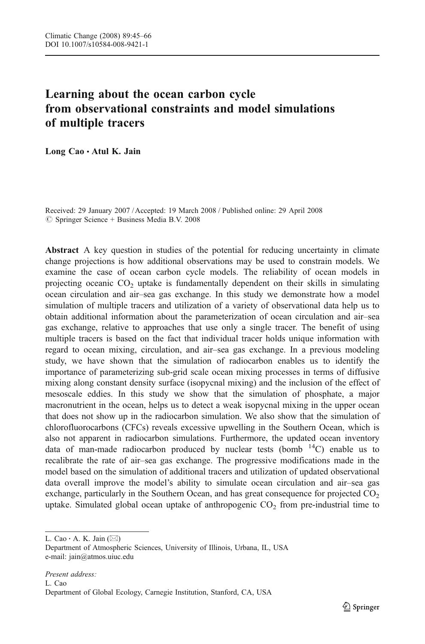# Learning about the ocean carbon cycle from observational constraints and model simulations of multiple tracers

Long Cao · Atul K. Jain

Received: 29 January 2007 / Accepted: 19 March 2008 / Published online: 29 April 2008  $\circledcirc$  Springer Science + Business Media B.V. 2008

Abstract A key question in studies of the potential for reducing uncertainty in climate change projections is how additional observations may be used to constrain models. We examine the case of ocean carbon cycle models. The reliability of ocean models in projecting oceanic  $CO<sub>2</sub>$  uptake is fundamentally dependent on their skills in simulating ocean circulation and air–sea gas exchange. In this study we demonstrate how a model simulation of multiple tracers and utilization of a variety of observational data help us to obtain additional information about the parameterization of ocean circulation and air–sea gas exchange, relative to approaches that use only a single tracer. The benefit of using multiple tracers is based on the fact that individual tracer holds unique information with regard to ocean mixing, circulation, and air–sea gas exchange. In a previous modeling study, we have shown that the simulation of radiocarbon enables us to identify the importance of parameterizing sub-grid scale ocean mixing processes in terms of diffusive mixing along constant density surface (isopycnal mixing) and the inclusion of the effect of mesoscale eddies. In this study we show that the simulation of phosphate, a major macronutrient in the ocean, helps us to detect a weak isopycnal mixing in the upper ocean that does not show up in the radiocarbon simulation. We also show that the simulation of chlorofluorocarbons (CFCs) reveals excessive upwelling in the Southern Ocean, which is also not apparent in radiocarbon simulations. Furthermore, the updated ocean inventory data of man-made radiocarbon produced by nuclear tests (bomb  $^{14}C$ ) enable us to recalibrate the rate of air–sea gas exchange. The progressive modifications made in the model based on the simulation of additional tracers and utilization of updated observational data overall improve the model's ability to simulate ocean circulation and air–sea gas exchange, particularly in the Southern Ocean, and has great consequence for projected  $CO<sub>2</sub>$ uptake. Simulated global ocean uptake of anthropogenic  $CO<sub>2</sub>$  from pre-industrial time to

L. Cao  $\cdot$  A. K. Jain ( $\boxtimes$ )

Department of Atmospheric Sciences, University of Illinois, Urbana, IL, USA e-mail: jain@atmos.uiuc.edu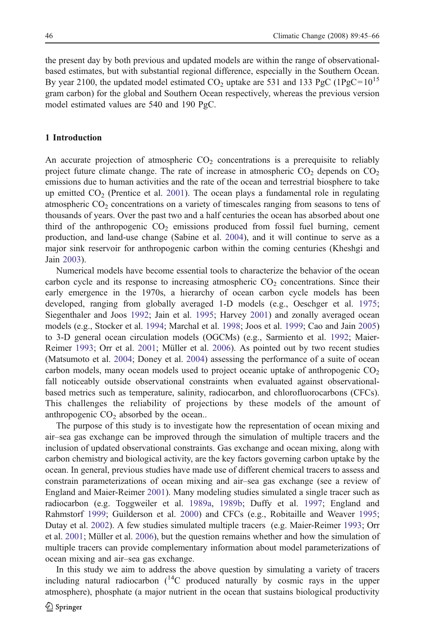the present day by both previous and updated models are within the range of observationalbased estimates, but with substantial regional difference, especially in the Southern Ocean. By year 2100, the updated model estimated  $CO_2$  uptake are 531 and 133 PgC (1PgC=10<sup>15</sup>) gram carbon) for the global and Southern Ocean respectively, whereas the previous version model estimated values are 540 and 190 PgC.

# 1 Introduction

An accurate projection of atmospheric  $CO<sub>2</sub>$  concentrations is a prerequisite to reliably project future climate change. The rate of increase in atmospheric  $CO_2$  depends on  $CO_2$ emissions due to human activities and the rate of the ocean and terrestrial biosphere to take up emitted  $CO<sub>2</sub>$  (Prentice et al. [2001](#page-20-0)). The ocean plays a fundamental role in regulating atmospheric  $CO<sub>2</sub>$  concentrations on a variety of timescales ranging from seasons to tens of thousands of years. Over the past two and a half centuries the ocean has absorbed about one third of the anthropogenic  $CO<sub>2</sub>$  emissions produced from fossil fuel burning, cement production, and land-use change (Sabine et al. [2004\)](#page-20-0), and it will continue to serve as a major sink reservoir for anthropogenic carbon within the coming centuries (Kheshgi and Jain [2003\)](#page-20-0).

Numerical models have become essential tools to characterize the behavior of the ocean carbon cycle and its response to increasing atmospheric  $CO<sub>2</sub>$  concentrations. Since their early emergence in the 1970s, a hierarchy of ocean carbon cycle models has been developed, ranging from globally averaged 1-D models (e.g., Oeschger et al. [1975](#page-20-0); Siegenthaler and Joos [1992;](#page-20-0) Jain et al. [1995](#page-19-0); Harvey [2001\)](#page-19-0) and zonally averaged ocean models (e.g., Stocker et al. [1994;](#page-21-0) Marchal et al. [1998;](#page-20-0) Joos et al. [1999](#page-19-0); Cao and Jain [2005\)](#page-19-0) to 3-D general ocean circulation models (OGCMs) (e.g., Sarmiento et al. [1992;](#page-20-0) Maier-Reimer [1993;](#page-20-0) Orr et al. [2001;](#page-20-0) Müller et al. [2006\)](#page-20-0). As pointed out by two recent studies (Matsumoto et al. [2004;](#page-20-0) Doney et al. [2004\)](#page-19-0) assessing the performance of a suite of ocean carbon models, many ocean models used to project oceanic uptake of anthropogenic  $CO<sub>2</sub>$ fall noticeably outside observational constraints when evaluated against observationalbased metrics such as temperature, salinity, radiocarbon, and chlorofluorocarbons (CFCs). This challenges the reliability of projections by these models of the amount of anthropogenic  $CO<sub>2</sub>$  absorbed by the ocean..

The purpose of this study is to investigate how the representation of ocean mixing and air–sea gas exchange can be improved through the simulation of multiple tracers and the inclusion of updated observational constraints. Gas exchange and ocean mixing, along with carbon chemistry and biological activity, are the key factors governing carbon uptake by the ocean. In general, previous studies have made use of different chemical tracers to assess and constrain parameterizations of ocean mixing and air–sea gas exchange (see a review of England and Maier-Reimer [2001](#page-19-0)). Many modeling studies simulated a single tracer such as radiocarbon (e.g. Toggweiler et al. [1989a,](#page-21-0) [1989b;](#page-21-0) Duffy et al. [1997](#page-19-0); England and Rahmstorf [1999](#page-19-0); Guilderson et al. [2000](#page-19-0)) and CFCs (e.g., Robitaille and Weaver [1995](#page-20-0); Dutay et al. [2002\)](#page-19-0). A few studies simulated multiple tracers (e.g. Maier-Reimer [1993](#page-20-0); Orr et al. [2001](#page-20-0); Müller et al. [2006\)](#page-20-0), but the question remains whether and how the simulation of multiple tracers can provide complementary information about model parameterizations of ocean mixing and air–sea gas exchange.

In this study we aim to address the above question by simulating a variety of tracers including natural radiocarbon  $(14)$ C produced naturally by cosmic rays in the upper atmosphere), phosphate (a major nutrient in the ocean that sustains biological productivity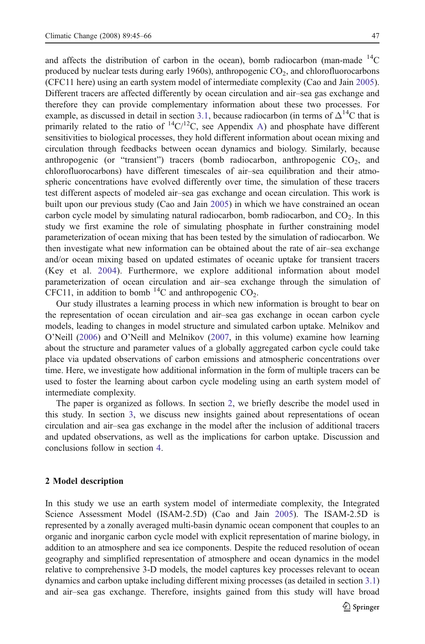and affects the distribution of carbon in the ocean), bomb radiocarbon (man-made  $^{14}$ C produced by nuclear tests during early  $1960s$ ), anthropogenic  $CO<sub>2</sub>$ , and chlorofluorocarbons (CFC11 here) using an earth system model of intermediate complexity (Cao and Jain [2005](#page-19-0)). Different tracers are affected differently by ocean circulation and air–sea gas exchange and therefore they can provide complementary information about these two processes. For example, as discussed in detail in section [3.1,](#page-3-0) because radiocarbon (in terms of  $\Delta^{14}C$  that is primarily related to the ratio of  ${}^{14}C/{}^{12}C$ , see Appendix [A\)](#page-16-0) and phosphate have different sensitivities to biological processes, they hold different information about ocean mixing and circulation through feedbacks between ocean dynamics and biology. Similarly, because anthropogenic (or "transient") tracers (bomb radiocarbon, anthropogenic  $CO<sub>2</sub>$ , and chlorofluorocarbons) have different timescales of air–sea equilibration and their atmospheric concentrations have evolved differently over time, the simulation of these tracers test different aspects of modeled air–sea gas exchange and ocean circulation. This work is built upon our previous study (Cao and Jain [2005\)](#page-19-0) in which we have constrained an ocean carbon cycle model by simulating natural radiocarbon, bomb radiocarbon, and  $CO<sub>2</sub>$ . In this study we first examine the role of simulating phosphate in further constraining model parameterization of ocean mixing that has been tested by the simulation of radiocarbon. We then investigate what new information can be obtained about the rate of air–sea exchange and/or ocean mixing based on updated estimates of oceanic uptake for transient tracers (Key et al. [2004\)](#page-19-0). Furthermore, we explore additional information about model parameterization of ocean circulation and air–sea exchange through the simulation of CFC11, in addition to bomb <sup>14</sup>C and anthropogenic  $CO_2$ .

Our study illustrates a learning process in which new information is brought to bear on the representation of ocean circulation and air–sea gas exchange in ocean carbon cycle models, leading to changes in model structure and simulated carbon uptake. Melnikov and O'Neill [\(2006\)](#page-20-0) and O'Neill and Melnikov [\(2007](#page-20-0), in this volume) examine how learning about the structure and parameter values of a globally aggregated carbon cycle could take place via updated observations of carbon emissions and atmospheric concentrations over time. Here, we investigate how additional information in the form of multiple tracers can be used to foster the learning about carbon cycle modeling using an earth system model of intermediate complexity.

The paper is organized as follows. In section [2,](#page-2-0) we briefly describe the model used in this study. In section [3,](#page-3-0) we discuss new insights gained about representations of ocean circulation and air–sea gas exchange in the model after the inclusion of additional tracers and updated observations, as well as the implications for carbon uptake. Discussion and conclusions follow in section [4.](#page-14-0)

#### 2 Model description

<span id="page-2-0"></span>In this study we use an earth system model of intermediate complexity, the Integrated Science Assessment Model (ISAM-2.5D) (Cao and Jain [2005](#page-19-0)). The ISAM-2.5D is represented by a zonally averaged multi-basin dynamic ocean component that couples to an organic and inorganic carbon cycle model with explicit representation of marine biology, in addition to an atmosphere and sea ice components. Despite the reduced resolution of ocean geography and simplified representation of atmosphere and ocean dynamics in the model relative to comprehensive 3-D models, the model captures key processes relevant to ocean dynamics and carbon uptake including different mixing processes (as detailed in section [3.1\)](#page-3-0) and air–sea gas exchange. Therefore, insights gained from this study will have broad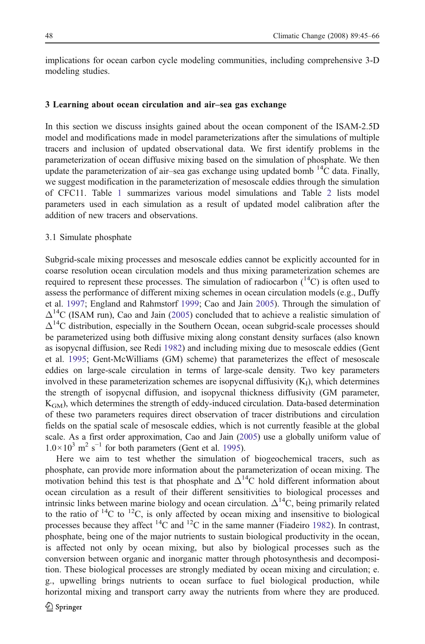implications for ocean carbon cycle modeling communities, including comprehensive 3-D modeling studies.

#### 3 Learning about ocean circulation and air–sea gas exchange

In this section we discuss insights gained about the ocean component of the ISAM-2.5D model and modifications made in model parameterizations after the simulations of multiple tracers and inclusion of updated observational data. We first identify problems in the parameterization of ocean diffusive mixing based on the simulation of phosphate. We then update the parameterization of air–sea gas exchange using updated bomb  $^{14}C$  data. Finally, we suggest modification in the parameterization of mesoscale eddies through the simulation of CFC11. Table [1](#page-4-0) summarizes various model simulations and Table [2](#page-5-0) lists model parameters used in each simulation as a result of updated model calibration after the addition of new tracers and observations.

#### 3.1 Simulate phosphate

Subgrid-scale mixing processes and mesoscale eddies cannot be explicitly accounted for in coarse resolution ocean circulation models and thus mixing parameterization schemes are required to represent these processes. The simulation of radiocarbon  $(^{14}C)$  is often used to assess the performance of different mixing schemes in ocean circulation models (e.g., Duffy et al. [1997;](#page-19-0) England and Rahmstorf [1999;](#page-19-0) Cao and Jain [2005\)](#page-19-0). Through the simulation of  $\Delta^{14}$ C (ISAM run), Cao and Jain [\(2005](#page-19-0)) concluded that to achieve a realistic simulation of  $\Delta^{14}$ C distribution, especially in the Southern Ocean, ocean subgrid-scale processes should be parameterized using both diffusive mixing along constant density surfaces (also known as isopycnal diffusion, see Redi [1982](#page-20-0)) and including mixing due to mesoscale eddies (Gent et al. [1995](#page-19-0); Gent-McWilliams (GM) scheme) that parameterizes the effect of mesoscale eddies on large-scale circulation in terms of large-scale density. Two key parameters involved in these parameterization schemes are isopycnal diffusivity  $(K<sub>1</sub>)$ , which determines the strength of isopycnal diffusion, and isopycnal thickness diffusivity (GM parameter,  $K_{\text{GM}}$ , which determines the strength of eddy-induced circulation. Data-based determination of these two parameters requires direct observation of tracer distributions and circulation fields on the spatial scale of mesoscale eddies, which is not currently feasible at the global scale. As a first order approximation, Cao and Jain ([2005](#page-19-0)) use a globally uniform value of  $1.0 \times 10^3$  m<sup>2</sup> s<sup>-1</sup> for both parameters (Gent et al. [1995\)](#page-19-0).

<span id="page-3-0"></span>Here we aim to test whether the simulation of biogeochemical tracers, such as phosphate, can provide more information about the parameterization of ocean mixing. The motivation behind this test is that phosphate and  $\Delta^{14}$ C hold different information about ocean circulation as a result of their different sensitivities to biological processes and intrinsic links between marine biology and ocean circulation.  $\Delta^{14}C$ , being primarily related to the ratio of  ${}^{14}C$  to  ${}^{12}C$ , is only affected by ocean mixing and insensitive to biological processes because they affect  ${}^{14}C$  and  ${}^{12}C$  in the same manner (Fiadeiro [1982\)](#page-19-0). In contrast, phosphate, being one of the major nutrients to sustain biological productivity in the ocean, is affected not only by ocean mixing, but also by biological processes such as the conversion between organic and inorganic matter through photosynthesis and decomposition. These biological processes are strongly mediated by ocean mixing and circulation; e. g., upwelling brings nutrients to ocean surface to fuel biological production, while horizontal mixing and transport carry away the nutrients from where they are produced.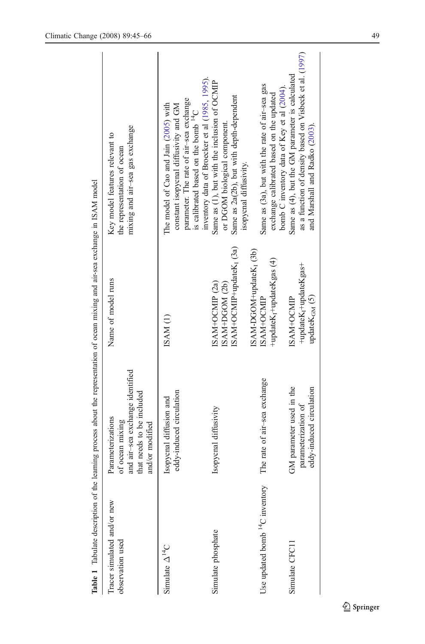<span id="page-4-0"></span>

|                                                 | Table 1 Tabulate description of the learning process about the representation of ocean mixing and air-sea exchange in ISAM model |                                                                                            |                                                                                                                                                                                                                                |
|-------------------------------------------------|----------------------------------------------------------------------------------------------------------------------------------|--------------------------------------------------------------------------------------------|--------------------------------------------------------------------------------------------------------------------------------------------------------------------------------------------------------------------------------|
| Tracer simulated and/or new<br>observation used | and air-sea exchange identified<br>that needs to be included<br>Parameterizations<br>of ocean mixing<br>and/or modified          | Name of model runs                                                                         | mixing and air-sea gas exchange<br>Key model features relevant to<br>the representation of ocean                                                                                                                               |
| Simulate $\Delta^{14}C$                         | eddy-induced circulation<br>Isopycnal diffusion and                                                                              | ISAM (1)                                                                                   | inventory data of Broecker et al (1985, 1995).<br>parameter. The rate of air-sea exchange<br>The model of Cao and Jain (2005) with<br>constant isopycnal diffusivity and GM<br>is calibrated based on the bomb <sup>14</sup> C |
| Simulate phosphate                              | Isopycnal diffusivity                                                                                                            | ISAM+OCMIP+updateK <sub>1</sub> (3a)<br>ISAM+OCMIP (2a)<br>ISAM+DGOM (2b)                  | Same as (1), but with the inclusion of OCMIP<br>Same as 2a(2b), but with depth-dependent<br>or DGOM biological component.<br>isopycnal diffusivity.                                                                            |
| Use updated bomb <sup>14</sup> C inventory      | The rate of air-sea exchange                                                                                                     | ISAM-DGOM+updateK <sub>1</sub> (3b)<br>+updateK <sub>1</sub> +updateKgas (4)<br>ISAM+OCMIP | Same as (3a), but with the rate of air-sea gas<br>bomb C inventory data of Key et al (2004)<br>exchange calibrated based on the updated                                                                                        |
| Simulate CFC11                                  | GM parameter used in the<br>eddy-induced circulation<br>parameterization of                                                      | +updateK <sub>1</sub> +updateKgas+<br>updateK <sub>GM</sub> (5)<br>ISAM+OCMIP              | as a function of density based on Visbeck et al. (1997)<br>Same as (4), but the GM parameter is calculated<br>and Marshall and Radko (2003).                                                                                   |
|                                                 |                                                                                                                                  |                                                                                            |                                                                                                                                                                                                                                |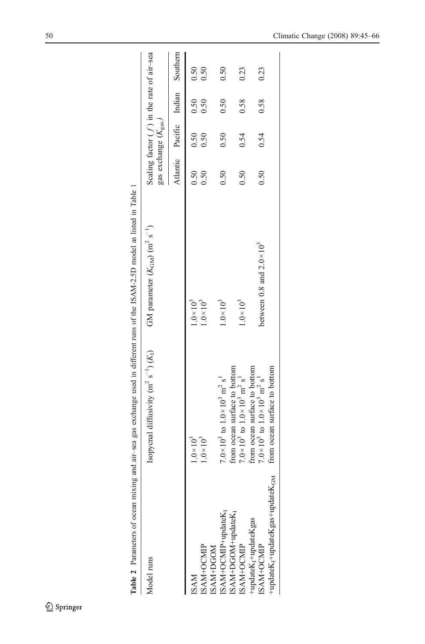|                                                         |                                                                        | Table 2 Parameters of ocean mixing and air-sea gas exchange used in different runs of the ISAM-2.5D model as listed in Table 1 |      |                                                                             |      |      |
|---------------------------------------------------------|------------------------------------------------------------------------|--------------------------------------------------------------------------------------------------------------------------------|------|-----------------------------------------------------------------------------|------|------|
| Model runs                                              | Isopycnal diffusivity $(m^2 s^{-1}) (K_I)$                             | GM parameter $(K_{\text{GM}})$ (m <sup>2</sup> s <sup>-1</sup> )                                                               |      | Scaling factor $(f)$ in the rate of air-sea<br>gas exchange $(K_{\rm gas})$ |      |      |
|                                                         |                                                                        |                                                                                                                                |      | Atlantic Pacific Indian Southern                                            |      |      |
| <b>ISAM</b>                                             | $1.0 \times 10^{3}$                                                    | $1.0\times10^3$                                                                                                                | 0.50 | 0.50                                                                        | 0.50 | 0.50 |
| SAM+OCMIP                                               | $1.0\times10^3$                                                        | $1.0\times10^3$                                                                                                                | 0.50 | 0.50                                                                        | 0.50 | 0.50 |
| ISAM+DGOM                                               |                                                                        |                                                                                                                                |      |                                                                             |      |      |
| SAM+OCMIP+updateK <sub>1</sub>                          | 7.0×10 <sup>3</sup> to $1.0 \times 10^3$ m <sup>2</sup> s <sup>1</sup> | $1.0 \times 10^{3}$                                                                                                            | 0.50 | 0.50                                                                        | 0.50 | 0.50 |
| SAM+DGOM+updateK <sub>I</sub>                           | from ocean surface to bottom                                           |                                                                                                                                |      |                                                                             |      |      |
| ISAM+OCMIP                                              | $7.0 \times 10^3$ to $1.0 \times 10^3$ m <sup>2</sup> s <sup>1</sup>   | $1.0\times10^3$                                                                                                                | 0.50 | 0.54                                                                        | 0.58 | 0.23 |
| +updateK <sub>1</sub> +updateKgas                       | from ocean surface to bottom                                           |                                                                                                                                |      |                                                                             |      |      |
| SAM+OCMIP                                               | $7.0 \times 10^3$ to $1.0 \times 10^3$ m <sup>2</sup> s <sup>1</sup>   | between 0.8 and $2.0 \times 10^3$                                                                                              | 0.50 | 0.54                                                                        | 0.58 | 0.23 |
| +updateK <sub>1</sub> +updateKgas+updateK <sub>GM</sub> | from ocean surface to bottom                                           |                                                                                                                                |      |                                                                             |      |      |
|                                                         |                                                                        |                                                                                                                                |      |                                                                             |      |      |

<span id="page-5-0"></span> $11.44$  $\frac{1}{2}$ ISAM-25D  $f_{\rm th}$ di ff.  $\frac{1}{4}$ ŀ,  $\ddot{\phantom{a}}$  $\ddot{\phantom{a}}$  $\ddot{\cdot}$  $\ddot{ }$  $\epsilon$  $\epsilon$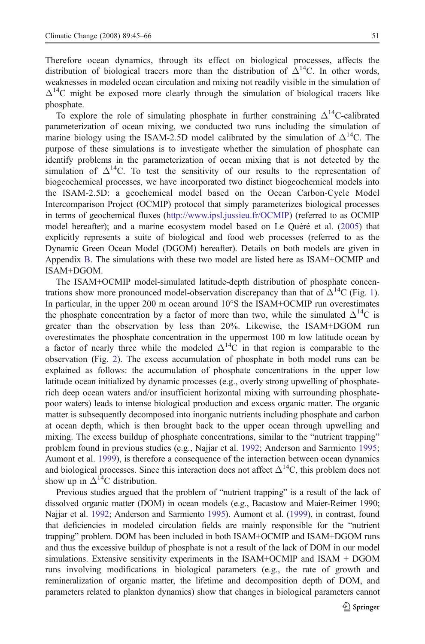Therefore ocean dynamics, through its effect on biological processes, affects the distribution of biological tracers more than the distribution of  $\Delta^{14}$ C. In other words, weaknesses in modeled ocean circulation and mixing not readily visible in the simulation of  $\Delta^{14}$ C might be exposed more clearly through the simulation of biological tracers like phosphate.

To explore the role of simulating phosphate in further constraining  $\Delta^{14}$ C-calibrated parameterization of ocean mixing, we conducted two runs including the simulation of marine biology using the ISAM-2.5D model calibrated by the simulation of  $\Delta^{14}C$ . The purpose of these simulations is to investigate whether the simulation of phosphate can identify problems in the parameterization of ocean mixing that is not detected by the simulation of  $\Delta^{14}$ C. To test the sensitivity of our results to the representation of biogeochemical processes, we have incorporated two distinct biogeochemical models into the ISAM-2.5D: a geochemical model based on the Ocean Carbon-Cycle Model Intercomparison Project (OCMIP) protocol that simply parameterizes biological processes in terms of geochemical fluxes [\(http://www.ipsl.jussieu.fr/OCMIP](http://www.ipsl.jussieu.fr/OCMIP)) (referred to as OCMIP model hereafter); and a marine ecosystem model based on Le Quéré et al. [\(2005](#page-20-0)) that explicitly represents a suite of biological and food web processes (referred to as the Dynamic Green Ocean Model (DGOM) hereafter). Details on both models are given in Appendix [B](#page-16-0). The simulations with these two model are listed here as ISAM+OCMIP and ISAM+DGOM.

The ISAM+OCMIP model-simulated latitude-depth distribution of phosphate concentrations show more pronounced model-observation discrepancy than that of  $\Delta^{14}C$  $\Delta^{14}C$  $\Delta^{14}C$  (Fig. 1). In particular, in the upper 200 m ocean around 10°S the ISAM+OCMIP run overestimates the phosphate concentration by a factor of more than two, while the simulated  $\Delta^{14}C$  is greater than the observation by less than 20%. Likewise, the ISAM+DGOM run overestimates the phosphate concentration in the uppermost 100 m low latitude ocean by a factor of nearly three while the modeled  $\Delta^{14}$ C in that region is comparable to the observation (Fig. [2](#page-8-0)). The excess accumulation of phosphate in both model runs can be explained as follows: the accumulation of phosphate concentrations in the upper low latitude ocean initialized by dynamic processes (e.g., overly strong upwelling of phosphaterich deep ocean waters and/or insufficient horizontal mixing with surrounding phosphatepoor waters) leads to intense biological production and excess organic matter. The organic matter is subsequently decomposed into inorganic nutrients including phosphate and carbon at ocean depth, which is then brought back to the upper ocean through upwelling and mixing. The excess buildup of phosphate concentrations, similar to the "nutrient trapping" problem found in previous studies (e.g., Najjar et al. [1992](#page-20-0); Anderson and Sarmiento [1995](#page-19-0); Aumont et al. [1999](#page-19-0)), is therefore a consequence of the interaction between ocean dynamics and biological processes. Since this interaction does not affect  $\Delta^{14}$ C, this problem does not show up in  $\Delta^{14}$ C distribution.

Previous studies argued that the problem of "nutrient trapping" is a result of the lack of dissolved organic matter (DOM) in ocean models (e.g., Bacastow and Maier-Reimer 1990; Najjar et al. [1992;](#page-20-0) Anderson and Sarmiento [1995](#page-19-0)). Aumont et al. ([1999](#page-19-0)), in contrast, found that deficiencies in modeled circulation fields are mainly responsible for the "nutrient trapping" problem. DOM has been included in both ISAM+OCMIP and ISAM+DGOM runs and thus the excessive buildup of phosphate is not a result of the lack of DOM in our model simulations. Extensive sensitivity experiments in the ISAM+OCMIP and ISAM + DGOM runs involving modifications in biological parameters (e.g., the rate of growth and remineralization of organic matter, the lifetime and decomposition depth of DOM, and parameters related to plankton dynamics) show that changes in biological parameters cannot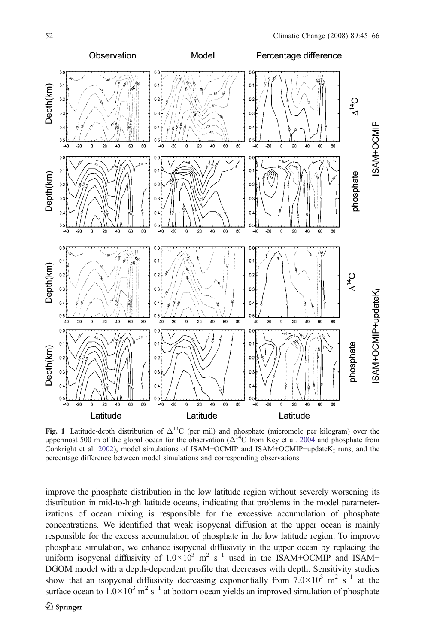

Fig. 1 Latitude-depth distribution of  $\Delta^{14}C$  (per mil) and phosphate (micromole per kilogram) over the uppermost 500 m of the global ocean for the observation  $(\Delta^{14}C$  from Key et al. [2004](#page-19-0) and phosphate from Conkright et al. [2002](#page-19-0)), model simulations of ISAM+OCMIP and ISAM+OCMIP+update $K_1$  runs, and the percentage difference between model simulations and corresponding observations

<span id="page-7-0"></span>improve the phosphate distribution in the low latitude region without severely worsening its distribution in mid-to-high latitude oceans, indicating that problems in the model parameterizations of ocean mixing is responsible for the excessive accumulation of phosphate concentrations. We identified that weak isopycnal diffusion at the upper ocean is mainly responsible for the excess accumulation of phosphate in the low latitude region. To improve phosphate simulation, we enhance isopycnal diffusivity in the upper ocean by replacing the uniform isopycnal diffusivity of  $1.0 \times 10^3$  m<sup>2</sup> s<sup>-1</sup> used in the ISAM+OCMIP and ISAM+ DGOM model with a depth-dependent profile that decreases with depth. Sensitivity studies show that an isopycnal diffusivity decreasing exponentially from  $7.0 \times 10^3$  m<sup>2</sup> s<sup>-1</sup> at the surface ocean to  $1.0 \times 10^3$  m<sup>2</sup> s<sup>-1</sup> at bottom ocean yields an improved simulation of phosphate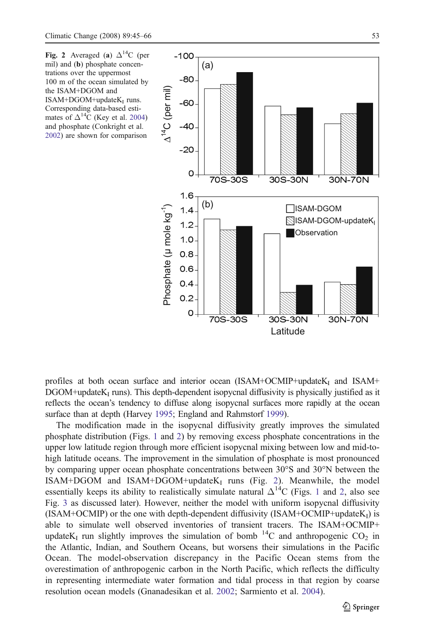



profiles at both ocean surface and interior ocean (ISAM+OCMIP+update $K_I$  and ISAM+  $DGOM+updateK<sub>I</sub> runs$ ). This depth-dependent isopycnal diffusivity is physically justified as it reflects the ocean's tendency to diffuse along isopycnal surfaces more rapidly at the ocean surface than at depth (Harvey [1995;](#page-19-0) England and Rahmstorf [1999\)](#page-19-0).

<span id="page-8-0"></span>The modification made in the isopycnal diffusivity greatly improves the simulated phosphate distribution (Figs. [1](#page-7-0) and [2](#page-8-0)) by removing excess phosphate concentrations in the upper low latitude region through more efficient isopycnal mixing between low and mid-tohigh latitude oceans. The improvement in the simulation of phosphate is most pronounced by comparing upper ocean phosphate concentrations between 30°S and 30°N between the ISAM+DGOM and ISAM+DGOM+update $K_I$  runs (Fig. [2\)](#page-8-0). Meanwhile, the model essentially keeps its ability to realistically simulate natural  $\Delta^{14}C$  $\Delta^{14}C$  $\Delta^{14}C$  (Figs. 1 and [2](#page-8-0), also see Fig. [3](#page-9-0) as discussed later). However, neither the model with uniform isopycnal diffusivity  $(ISAM+OCMIP)$  or the one with depth-dependent diffusivity  $(ISAM+OCMIP+updateK_I)$  is able to simulate well observed inventories of transient tracers. The ISAM+OCMIP+ update $K_I$  run slightly improves the simulation of bomb  $^{14}C$  and anthropogenic CO<sub>2</sub> in the Atlantic, Indian, and Southern Oceans, but worsens their simulations in the Pacific Ocean. The model-observation discrepancy in the Pacific Ocean stems from the overestimation of anthropogenic carbon in the North Pacific, which reflects the difficulty in representing intermediate water formation and tidal process in that region by coarse resolution ocean models (Gnanadesikan et al. [2002;](#page-19-0) Sarmiento et al. [2004](#page-20-0)).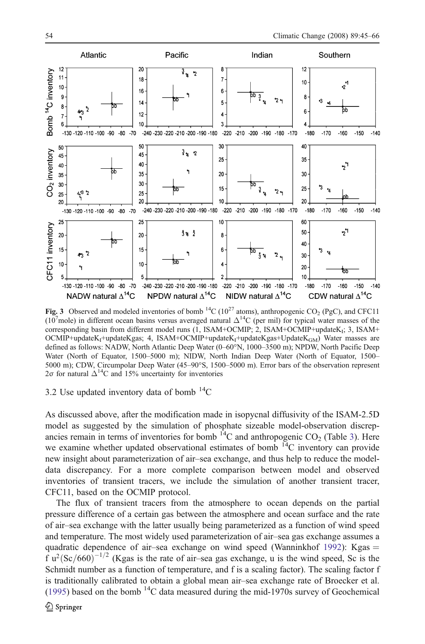

Fig. 3 Observed and modeled inventories of bomb  ${}^{14}C$  (10<sup>27</sup> atoms), anthropogenic CO<sub>2</sub> (PgC), and CFC11 ( $10^7$ mole) in different ocean basins versus averaged natural  $\Delta^{14}$ C (per mil) for typical water masses of the corresponding basin from different model runs (1, ISAM+OCMIP;  $\overline{2}$ , ISAM+OCMIP+updateK<sub>1</sub>; 3, ISAM+  $OCMIP+updateK_I+updateKgas$ ; 4, ISAM+OCMIP+update $K_I+updateKgas+UpdateG_M$ ) Water masses are defined as follows: NADW, North Atlantic Deep Water (0–60°N, 1000–3500 m); NPDW, North Pacific Deep Water (North of Equator, 1500–5000 m); NIDW, North Indian Deep Water (North of Equator, 1500– 5000 m); CDW, Circumpolar Deep Water (45–90°S, 1500–5000 m). Error bars of the observation represent 2σ for natural  $\Delta^{14}$ C and 15% uncertainty for inventories

# 3.2 Use updated inventory data of bomb  $^{14}$ C

As discussed above, after the modification made in isopycnal diffusivity of the ISAM-2.5D model as suggested by the simulation of phosphate sizeable model-observation discrepancies remain in terms of inventories for bomb  ${}^{14}C$  and anthropogenic CO<sub>2</sub> (Table [3](#page-10-0)). Here we examine whether updated observational estimates of bomb  $^{14}$ C inventory can provide new insight about parameterization of air–sea exchange, and thus help to reduce the modeldata discrepancy. For a more complete comparison between model and observed inventories of transient tracers, we include the simulation of another transient tracer, CFC11, based on the OCMIP protocol.

<span id="page-9-0"></span>The flux of transient tracers from the atmosphere to ocean depends on the partial pressure difference of a certain gas between the atmosphere and ocean surface and the rate of air–sea exchange with the latter usually being parameterized as a function of wind speed and temperature. The most widely used parameterization of air–sea gas exchange assumes a quadratic dependence of air–sea exchange on wind speed (Wanninkhof [1992](#page-21-0)): Kgas  $=$ f  $u^2$ (Sc/660)<sup>-1/2</sup> (Kgas is the rate of air–sea gas exchange, u is the wind speed, Sc is the Schmidt number as a function of temperature, and f is a scaling factor). The scaling factor f is traditionally calibrated to obtain a global mean air–sea exchange rate of Broecker et al. ([1995\)](#page-19-0) based on the bomb  $^{14}$ C data measured during the mid-1970s survey of Geochemical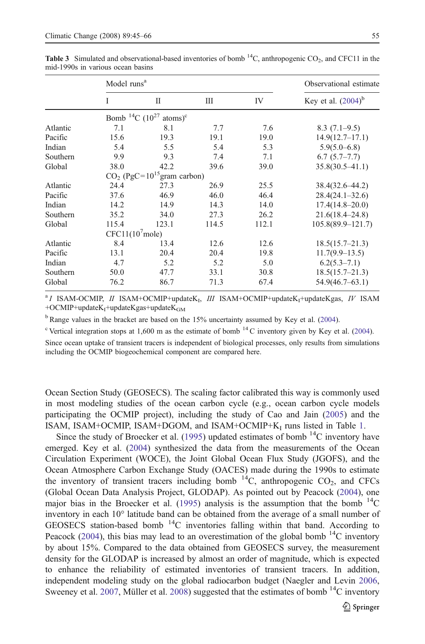| mid-1990s in various ocean basins | <b>Table 3</b> Simulated and observational-based inventories of bomb ${}^{14}C$ , anthropogenic CO <sub>2</sub> , and CFC11 in the |
|-----------------------------------|------------------------------------------------------------------------------------------------------------------------------------|
| $M = 1.1$ $\ldots$ $2$            | Okaamistanal astimata                                                                                                              |

|          | Model runs <sup>a</sup>     |                                                     |       |       | Observational estimate  |
|----------|-----------------------------|-----------------------------------------------------|-------|-------|-------------------------|
|          | Ι                           | H                                                   | Ш     | IV    | Key et al. $(2004)^{b}$ |
|          |                             | Bomb <sup>14</sup> C $(10^{27}$ atoms) <sup>c</sup> |       |       |                         |
| Atlantic | 7.1                         | 8.1                                                 | 7.7   | 7.6   | $8.3(7.1-9.5)$          |
| Pacific  | 15.6                        | 19.3                                                | 19.1  | 19.0  | $14.9(12.7 - 17.1)$     |
| Indian   | 5.4                         | 5.5                                                 | 5.4   | 5.3   | $5.9(5.0 - 6.8)$        |
| Southern | 9.9                         | 9.3                                                 | 7.4   | 7.1   | $6.7(5.7-7.7)$          |
| Global   | 38.0                        | 42.2                                                | 39.6  | 39.0  | $35.8(30.5 - 41.1)$     |
|          |                             | $CO2$ (PgC=10 <sup>15</sup> gram carbon)            |       |       |                         |
| Atlantic | 24.4                        | 27.3                                                | 26.9  | 25.5  | 38.4(32.6–44.2)         |
| Pacific  | 37.6                        | 46.9                                                | 46.0  | 46.4  | $28.4(24.1 - 32.6)$     |
| Indian   | 14.2                        | 14.9                                                | 14.3  | 14.0  | $17.4(14.8 - 20.0)$     |
| Southern | 35.2                        | 34.0                                                | 27.3  | 26.2  | $21.6(18.4 - 24.8)$     |
| Global   | 115.4                       | 123.1                                               | 114.5 | 112.1 | $105.8(89.9 - 121.7)$   |
|          | CFC11(10 <sup>7</sup> mole) |                                                     |       |       |                         |
| Atlantic | 8.4                         | 13.4                                                | 12.6  | 12.6  | $18.5(15.7 - 21.3)$     |
| Pacific  | 13.1                        | 20.4                                                | 20.4  | 19.8  | $11.7(9.9 - 13.5)$      |
| Indian   | 4.7                         | 5.2                                                 | 5.2   | 5.0   | $6.2(5.3 - 7.1)$        |
| Southern | 50.0                        | 47.7                                                | 33.1  | 30.8  | $18.5(15.7 - 21.3)$     |
| Global   | 76.2                        | 86.7                                                | 71.3  | 67.4  | 54.9(46.7–63.1)         |

<sup>a</sup> I ISAM-OCMIP, II ISAM+OCMIP+updateK<sub>I</sub>, III ISAM+OCMIP+updateK<sub>I</sub>+updateKgas, IV ISAM  $+OCMIP+updateK_I+updateKgas+updateK_{GM}$ 

<sup>b</sup> Range values in the bracket are based on the 15% uncertainty assumed by Key et al. [\(2004](#page-19-0)).

<sup>c</sup> Vertical integration stops at 1,600 m as the estimate of bomb  $^{14}$ C inventory given by Key et al. ([2004\)](#page-19-0). Since ocean uptake of transient tracers is independent of biological processes, only results from simulations

including the OCMIP biogeochemical component are compared here.

Ocean Section Study (GEOSECS). The scaling factor calibrated this way is commonly used in most modeling studies of the ocean carbon cycle (e.g., ocean carbon cycle models participating the OCMIP project), including the study of Cao and Jain ([2005\)](#page-19-0) and the ISAM, ISAM+OCMIP, ISAM+DGOM, and ISAM+OCMIP+K<sub>I</sub> runs listed in Table [1](#page-4-0).

<span id="page-10-0"></span>Since the study of Broecker et al.  $(1995)$  $(1995)$  updated estimates of bomb  $^{14}$ C inventory have emerged. Key et al. ([2004\)](#page-19-0) synthesized the data from the measurements of the Ocean Circulation Experiment (WOCE), the Joint Global Ocean Flux Study (JGOFS), and the Ocean Atmosphere Carbon Exchange Study (OACES) made during the 1990s to estimate the inventory of transient tracers including bomb  $^{14}$ C, anthropogenic CO<sub>2</sub>, and CFCs (Global Ocean Data Analysis Project, GLODAP). As pointed out by Peacock [\(2004](#page-20-0)), one major bias in the Broecker et al. [\(1995](#page-19-0)) analysis is the assumption that the bomb  $^{14}$ C inventory in each 10° latitude band can be obtained from the average of a small number of GEOSECS station-based bomb  ${}^{14}$ C inventories falling within that band. According to Peacock [\(2004\)](#page-20-0), this bias may lead to an overestimation of the global bomb  $^{14}C$  inventory by about 15%. Compared to the data obtained from GEOSECS survey, the measurement density for the GLODAP is increased by almost an order of magnitude, which is expected to enhance the reliability of estimated inventories of transient tracers. In addition, independent modeling study on the global radiocarbon budget (Naegler and Levin [2006](#page-20-0), Sweeney et al. [2007,](#page-21-0) Müller et al. [2008\)](#page-20-0) suggested that the estimates of bomb  $^{14}C$  inventory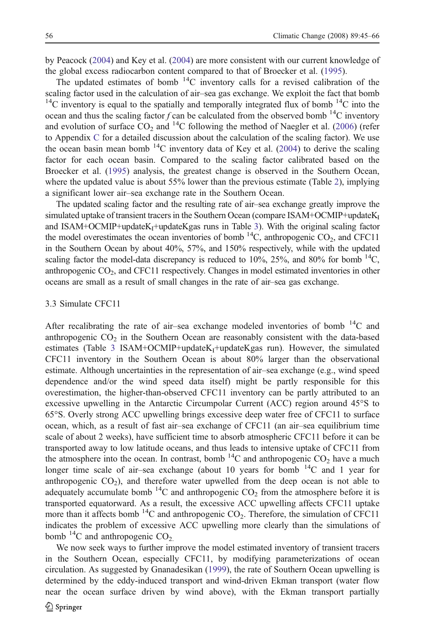by Peacock ([2004](#page-20-0)) and Key et al. [\(2004\)](#page-19-0) are more consistent with our current knowledge of the global excess radiocarbon content compared to that of Broecker et al. [\(1995\)](#page-19-0).

The updated estimates of bomb  $14$ C inventory calls for a revised calibration of the scaling factor used in the calculation of air-sea gas exchange. We exploit the fact that bomb  $14$ <sup>-1</sup>C inventory is equal to the spatially and temporally integrated flux of bomb  $14$ <sup>-1</sup>C into the ocean and thus the scaling factor f can be calculated from the observed bomb  $^{14}C$  inventory and evolution of surface  $CO_2$  and <sup>14</sup>C following the method of Naegler et al. [\(2006](#page-20-0)) (refer to Appendix [C](#page-17-0) for a detailed discussion about the calculation of the scaling factor). We use the ocean basin mean bomb  $^{14}C$  inventory data of Key et al. ([2004\)](#page-19-0) to derive the scaling factor for each ocean basin. Compared to the scaling factor calibrated based on the Broecker et al. ([1995\)](#page-19-0) analysis, the greatest change is observed in the Southern Ocean, where the updated value is about 55% lower than the previous estimate (Table [2\)](#page-5-0), implying a significant lower air–sea exchange rate in the Southern Ocean.

The updated scaling factor and the resulting rate of air–sea exchange greatly improve the simulated uptake of transient tracers in the Southern Ocean (compare ISAM+OCMIP+update $K_I$ and ISAM+OCMIP+update $K_I$ +updateKgas runs in Table [3\)](#page-10-0). With the original scaling factor the model overestimates the ocean inventories of bomb  ${}^{14}C$ , anthropogenic CO<sub>2</sub>, and CFC11 in the Southern Ocean by about 40%, 57%, and 150% respectively, while with the updated scaling factor the model-data discrepancy is reduced to 10%, 25%, and 80% for bomb  $^{14}C$ , anthropogenic CO2, and CFC11 respectively. Changes in model estimated inventories in other oceans are small as a result of small changes in the rate of air–sea gas exchange.

#### 3.3 Simulate CFC11

After recalibrating the rate of air–sea exchange modeled inventories of bomb  $^{14}C$  and anthropogenic  $CO<sub>2</sub>$  in the Southern Ocean are reasonably consistent with the data-based estimates (Table [3](#page-10-0) ISAM+OCMIP+update $K_1$ +update $K_2$ as run). However, the simulated CFC11 inventory in the Southern Ocean is about 80% larger than the observational estimate. Although uncertainties in the representation of air–sea exchange (e.g., wind speed dependence and/or the wind speed data itself) might be partly responsible for this overestimation, the higher-than-observed CFC11 inventory can be partly attributed to an excessive upwelling in the Antarctic Circumpolar Current (ACC) region around 45°S to 65°S. Overly strong ACC upwelling brings excessive deep water free of CFC11 to surface ocean, which, as a result of fast air–sea exchange of CFC11 (an air–sea equilibrium time scale of about 2 weeks), have sufficient time to absorb atmospheric CFC11 before it can be transported away to low latitude oceans, and thus leads to intensive uptake of CFC11 from the atmosphere into the ocean. In contrast, bomb  ${}^{14}C$  and anthropogenic  $CO_2$  have a much longer time scale of air-sea exchange (about 10 years for bomb <sup>14</sup>C and 1 year for anthropogenic  $CO<sub>2</sub>$ ), and therefore water upwelled from the deep ocean is not able to adequately accumulate bomb  ${}^{14}C$  and anthropogenic  $CO_2$  from the atmosphere before it is transported equatorward. As a result, the excessive ACC upwelling affects CFC11 uptake more than it affects bomb  ${}^{14}C$  and anthropogenic  $CO_2$ . Therefore, the simulation of CFC11 indicates the problem of excessive ACC upwelling more clearly than the simulations of bomb  $^{14}$ C and anthropogenic CO<sub>2</sub>.

We now seek ways to further improve the model estimated inventory of transient tracers in the Southern Ocean, especially CFC11, by modifying parameterizations of ocean circulation. As suggested by Gnanadesikan [\(1999](#page-19-0)), the rate of Southern Ocean upwelling is determined by the eddy-induced transport and wind-driven Ekman transport (water flow near the ocean surface driven by wind above), with the Ekman transport partially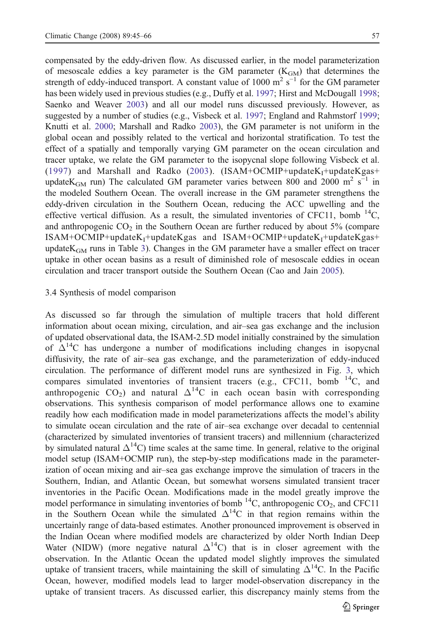compensated by the eddy-driven flow. As discussed earlier, in the model parameterization of mesoscale eddies a key parameter is the GM parameter  $(K_{GM})$  that determines the strength of eddy-induced transport. A constant value of 1000  $m^2 s^{-1}$  for the GM parameter has been widely used in previous studies (e.g., Duffy et al. [1997](#page-19-0); Hirst and McDougall [1998](#page-19-0); Saenko and Weaver [2003\)](#page-20-0) and all our model runs discussed previously. However, as suggested by a number of studies (e.g., Visbeck et al. [1997;](#page-21-0) England and Rahmstorf [1999](#page-19-0); Knutti et al. [2000;](#page-20-0) Marshall and Radko [2003](#page-20-0)), the GM parameter is not uniform in the global ocean and possibly related to the vertical and horizontal stratification. To test the effect of a spatially and temporally varying GM parameter on the ocean circulation and tracer uptake, we relate the GM parameter to the isopycnal slope following Visbeck et al. ([1997](#page-21-0)) and Marshall and Radko [\(2003](#page-20-0)). (ISAM+OCMIP+updateK<sub>I</sub>+updateKgas+ update $K_{GM}$  run) The calculated GM parameter varies between 800 and 2000 m<sup>2</sup> s<sup>-1</sup> in the modeled Southern Ocean. The overall increase in the GM parameter strengthens the eddy-driven circulation in the Southern Ocean, reducing the ACC upwelling and the effective vertical diffusion. As a result, the simulated inventories of CFC11, bomb  $^{14}C$ , and anthropogenic  $CO<sub>2</sub>$  in the Southern Ocean are further reduced by about 5% (compare  $ISAM+OCMIP+updateK<sub>I</sub>+updateKgas$  and  $ISAM+OCMIP+updateK<sub>I</sub>+updateKgas+$ update $K_{GM}$  runs in Table [3\)](#page-10-0). Changes in the GM parameter have a smaller effect on tracer uptake in other ocean basins as a result of diminished role of mesoscale eddies in ocean circulation and tracer transport outside the Southern Ocean (Cao and Jain [2005](#page-19-0)).

# 3.4 Synthesis of model comparison

As discussed so far through the simulation of multiple tracers that hold different information about ocean mixing, circulation, and air–sea gas exchange and the inclusion of updated observational data, the ISAM-2.5D model initially constrained by the simulation of  $\Delta^{14}$ C has undergone a number of modifications including changes in isopycnal diffusivity, the rate of air–sea gas exchange, and the parameterization of eddy-induced circulation. The performance of different model runs are synthesized in Fig. [3,](#page-9-0) which compares simulated inventories of transient tracers (e.g., CFC11, bomb  $^{14}C$ , and anthropogenic CO<sub>2</sub>) and natural  $\Delta^{14}$ C in each ocean basin with corresponding observations. This synthesis comparison of model performance allows one to examine readily how each modification made in model parameterizations affects the model's ability to simulate ocean circulation and the rate of air–sea exchange over decadal to centennial (characterized by simulated inventories of transient tracers) and millennium (characterized by simulated natural  $\Delta^{14}$ C) time scales at the same time. In general, relative to the original model setup (ISAM+OCMIP run), the step-by-step modifications made in the parameterization of ocean mixing and air–sea gas exchange improve the simulation of tracers in the Southern, Indian, and Atlantic Ocean, but somewhat worsens simulated transient tracer inventories in the Pacific Ocean. Modifications made in the model greatly improve the model performance in simulating inventories of bomb  $^{14}C$ , anthropogenic CO<sub>2</sub>, and CFC11 in the Southern Ocean while the simulated  $\Delta^{14}$ C in that region remains within the uncertainly range of data-based estimates. Another pronounced improvement is observed in the Indian Ocean where modified models are characterized by older North Indian Deep Water (NIDW) (more negative natural  $\Delta^{14}$ C) that is in closer agreement with the observation. In the Atlantic Ocean the updated model slightly improves the simulated uptake of transient tracers, while maintaining the skill of simulating  $\Delta^{14}C$ . In the Pacific Ocean, however, modified models lead to larger model-observation discrepancy in the uptake of transient tracers. As discussed earlier, this discrepancy mainly stems from the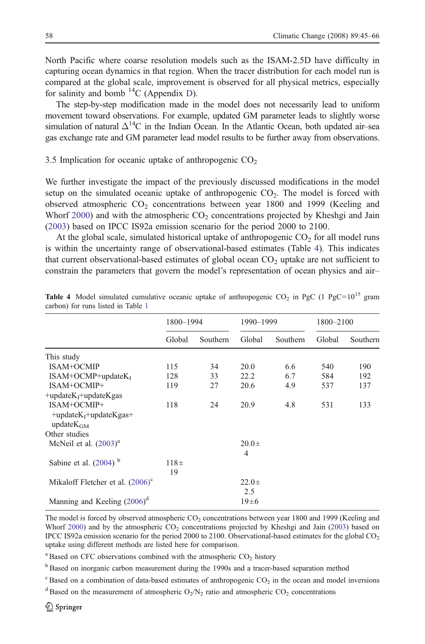North Pacific where coarse resolution models such as the ISAM-2.5D have difficulty in capturing ocean dynamics in that region. When the tracer distribution for each model run is compared at the global scale, improvement is observed for all physical metrics, especially for salinity and bomb  $^{14}$ C (Appendix [D](#page-18-0)).

The step-by-step modification made in the model does not necessarily lead to uniform movement toward observations. For example, updated GM parameter leads to slightly worse simulation of natural  $\Delta^{14}C$  in the Indian Ocean. In the Atlantic Ocean, both updated air-sea gas exchange rate and GM parameter lead model results to be further away from observations.

#### 3.5 Implication for oceanic uptake of anthropogenic  $CO<sub>2</sub>$

We further investigate the impact of the previously discussed modifications in the model setup on the simulated oceanic uptake of anthropogenic  $CO<sub>2</sub>$ . The model is forced with observed atmospheric  $CO<sub>2</sub>$  concentrations between year 1800 and 1999 (Keeling and Whorf [2000](#page-19-0)) and with the atmospheric  $CO<sub>2</sub>$  concentrations projected by Kheshgi and Jain ([2003\)](#page-20-0) based on IPCC IS92a emission scenario for the period 2000 to 2100.

At the global scale, simulated historical uptake of anthropogenic  $CO<sub>2</sub>$  for all model runs is within the uncertainty range of observational-based estimates (Table [4](#page-13-0)). This indicates that current observational-based estimates of global ocean  $CO<sub>2</sub>$  uptake are not sufficient to constrain the parameters that govern the model's representation of ocean physics and air–

|                                         | 1800-1994 |          | 1990-1999                    |          | 1800-2100 |          |  |
|-----------------------------------------|-----------|----------|------------------------------|----------|-----------|----------|--|
|                                         | Global    | Southern | Global                       | Southern | Global    | Southern |  |
| This study                              |           |          |                              |          |           |          |  |
| ISAM+OCMIP                              | 115       | 34       | 20.0                         | 6.6      | 540       | 190      |  |
| $ISAM+OCMP+updateK_I$                   | 128       | 33       | 22.2                         | 6.7      | 584       | 192      |  |
| ISAM+OCMIP+                             | 119       | 27       | 20.6                         | 4.9      | 537       | 137      |  |
| $+$ update $K_I$ +update $K$ gas        |           |          |                              |          |           |          |  |
| ISAM+OCMIP+                             | 118       | 24       | 20.9                         | 4.8      | 531       | 133      |  |
| $+$ update $K_I$ $+$ update $K$ gas $+$ |           |          |                              |          |           |          |  |
| update $K_{GM}$                         |           |          |                              |          |           |          |  |
| Other studies                           |           |          |                              |          |           |          |  |
| McNeil et al. $(2003)^{a}$              |           |          | $20.0 \pm$<br>$\overline{4}$ |          |           |          |  |
| Sabine et al. $(2004)$ <sup>b</sup>     | $118\pm$  |          |                              |          |           |          |  |
|                                         | 19        |          |                              |          |           |          |  |
| Mikaloff Fletcher et al. $(2006)^c$     |           |          | $22.0 \pm$                   |          |           |          |  |
|                                         |           |          | 2.5                          |          |           |          |  |
| Manning and Keeling $(2006)^d$          |           |          | 19±6                         |          |           |          |  |

|  |                                    |  |  | <b>Table 4</b> Model simulated cumulative oceanic uptake of anthropogenic CO <sub>2</sub> in PgC (1 PgC=10 <sup>15</sup> gram |  |  |  |
|--|------------------------------------|--|--|-------------------------------------------------------------------------------------------------------------------------------|--|--|--|
|  | carbon) for runs listed in Table 1 |  |  |                                                                                                                               |  |  |  |

The model is forced by observed atmospheric CO<sub>2</sub> concentrations between year 1800 and 1999 (Keeling and Whorf [2000](#page-19-0)) and by the atmospheric  $CO<sub>2</sub>$  concentrations projected by Kheshgi and Jain [\(2003](#page-20-0)) based on IPCC IS92a emission scenario for the period 2000 to 2100. Observational-based estimates for the global CO<sub>2</sub> uptake using different methods are listed here for comparison.

 $a<sup>a</sup>$  Based on CFC observations combined with the atmospheric CO<sub>2</sub> history

<sup>b</sup> Based on inorganic carbon measurement during the 1990s and a tracer-based separation method

 $c$  Based on a combination of data-based estimates of anthropogenic CO<sub>2</sub> in the ocean and model inversions

<span id="page-13-0"></span> $d$  Based on the measurement of atmospheric  $O_2/N_2$  ratio and atmospheric  $CO_2$  concentrations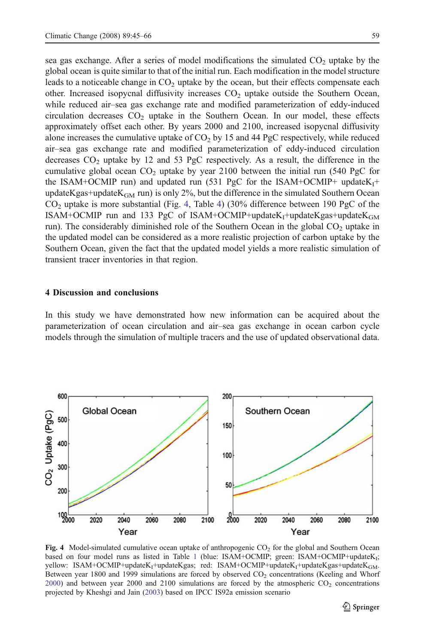sea gas exchange. After a series of model modifications the simulated  $CO<sub>2</sub>$  uptake by the global ocean is quite similar to that of the initial run. Each modification in the model structure leads to a noticeable change in  $CO<sub>2</sub>$  uptake by the ocean, but their effects compensate each other. Increased isopycnal diffusivity increases  $CO<sub>2</sub>$  uptake outside the Southern Ocean, while reduced air–sea gas exchange rate and modified parameterization of eddy-induced circulation decreases  $CO<sub>2</sub>$  uptake in the Southern Ocean. In our model, these effects approximately offset each other. By years 2000 and 2100, increased isopycnal diffusivity alone increases the cumulative uptake of  $CO<sub>2</sub>$  by 15 and 44 PgC respectively, while reduced air–sea gas exchange rate and modified parameterization of eddy-induced circulation decreases  $CO<sub>2</sub>$  uptake by 12 and 53 PgC respectively. As a result, the difference in the cumulative global ocean  $CO<sub>2</sub>$  uptake by year 2100 between the initial run (540 PgC for the ISAM+OCMIP run) and updated run (531 PgC for the ISAM+OCMIP+ update $K_1$ + update $K_{\text{G}M}$  run) is only 2%, but the difference in the simulated Southern Ocean  $CO<sub>2</sub>$  uptake is more substantial (Fig. [4](#page-13-0), Table 4) (30% difference between 190 PgC of the ISAM+OCMIP run and 133 PgC of ISAM+OCMIP+updateK<sub>1</sub>+updateKgas+updateK<sub>GM</sub> run). The considerably diminished role of the Southern Ocean in the global  $CO<sub>2</sub>$  uptake in the updated model can be considered as a more realistic projection of carbon uptake by the Southern Ocean, given the fact that the updated model yields a more realistic simulation of transient tracer inventories in that region.

#### 4 Discussion and conclusions

In this study we have demonstrated how new information can be acquired about the parameterization of ocean circulation and air–sea gas exchange in ocean carbon cycle models through the simulation of multiple tracers and the use of updated observational data.



<span id="page-14-0"></span>Fig. 4 Model-simulated cumulative ocean uptake of anthropogenic  $CO<sub>2</sub>$  for the global and Southern Ocean based on four model runs as listed in Table [1](#page-4-0) (blue: ISAM+OCMIP; green: ISAM+OCMIP+updateK<sub>I</sub>; yellow: ISAM+OCMIP+updateK<sub>I</sub>+updateKgas; red: ISAM+OCMIP+updateK<sub>I</sub>+updateKgas+updateK<sub>GM</sub>. Between year 1800 and 1999 simulations are forced by observed CO<sub>2</sub> concentrations (Keeling and Whorf  $2000$ ) and between year 2000 and 2100 simulations are forced by the atmospheric  $CO<sub>2</sub>$  concentrations projected by Kheshgi and Jain [\(2003\)](#page-20-0) based on IPCC IS92a emission scenario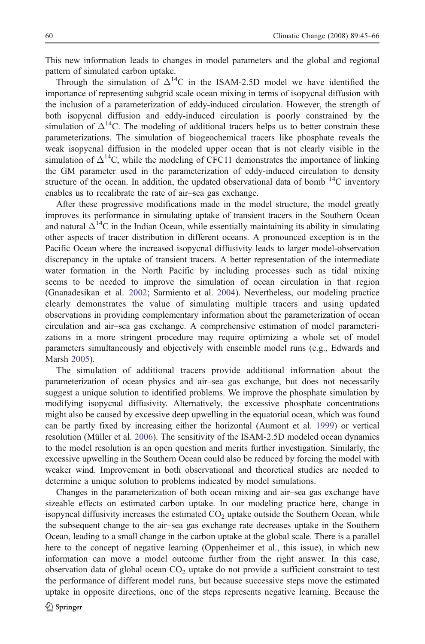This new information leads to changes in model parameters and the global and regional pattern of simulated carbon uptake.

Through the simulation of  $\Delta^{14}C$  in the ISAM-2.5D model we have identified the importance of representing subgrid scale ocean mixing in terms of isopycnal diffusion with the inclusion of a parameterization of eddy-induced circulation. However, the strength of both isopycnal diffusion and eddy-induced circulation is poorly constrained by the simulation of  $\Delta^{14}$ C. The modeling of additional tracers helps us to better constrain these parameterizations. The simulation of biogeochemical tracers like phosphate reveals the weak isopycnal diffusion in the modeled upper ocean that is not clearly visible in the simulation of  $\Delta^{14}$ C, while the modeling of CFC11 demonstrates the importance of linking the GM parameter used in the parameterization of eddy-induced circulation to density structure of the ocean. In addition, the updated observational data of bomb  $^{14}C$  inventory enables us to recalibrate the rate of air–sea gas exchange.

After these progressive modifications made in the model structure, the model greatly improves its performance in simulating uptake of transient tracers in the Southern Ocean and natural  $\Delta^{14}C$  in the Indian Ocean, while essentially maintaining its ability in simulating other aspects of tracer distribution in different oceans. A pronounced exception is in the Pacific Ocean where the increased isopycnal diffusivity leads to larger model-observation discrepancy in the uptake of transient tracers. A better representation of the intermediate water formation in the North Pacific by including processes such as tidal mixing seems to be needed to improve the simulation of ocean circulation in that region (Gnanadesikan et al. [2002](#page-19-0); Sarmiento et al. [2004](#page-20-0)). Nevertheless, our modeling practice clearly demonstrates the value of simulating multiple tracers and using updated observations in providing complementary information about the parameterization of ocean circulation and air–sea gas exchange. A comprehensive estimation of model parameterizations in a more stringent procedure may require optimizing a whole set of model parameters simultaneously and objectively with ensemble model runs (e.g., Edwards and Marsh [2005\)](#page-19-0).

The simulation of additional tracers provide additional information about the parameterization of ocean physics and air–sea gas exchange, but does not necessarily suggest a unique solution to identified problems. We improve the phosphate simulation by modifying isopycnal diffusivity. Alternatively, the excessive phosphate concentrations might also be caused by excessive deep upwelling in the equatorial ocean, which was found can be partly fixed by increasing either the horizontal (Aumont et al. [1999\)](#page-19-0) or vertical resolution (Müller et al. [2006](#page-20-0)). The sensitivity of the ISAM-2.5D modeled ocean dynamics to the model resolution is an open question and merits further investigation. Similarly, the excessive upwelling in the Southern Ocean could also be reduced by forcing the model with weaker wind. Improvement in both observational and theoretical studies are needed to determine a unique solution to problems indicated by model simulations.

Changes in the parameterization of both ocean mixing and air–sea gas exchange have sizeable effects on estimated carbon uptake. In our modeling practice here, change in isopyncal diffusivity increases the estimated  $CO<sub>2</sub>$  uptake outside the Southern Ocean, while the subsequent change to the air–sea gas exchange rate decreases uptake in the Southern Ocean, leading to a small change in the carbon uptake at the global scale. There is a parallel here to the concept of negative learning (Oppenheimer et al., this issue), in which new information can move a model outcome further from the right answer. In this case, observation data of global ocean  $CO<sub>2</sub>$  uptake do not provide a sufficient constraint to test the performance of different model runs, but because successive steps move the estimated uptake in opposite directions, one of the steps represents negative learning. Because the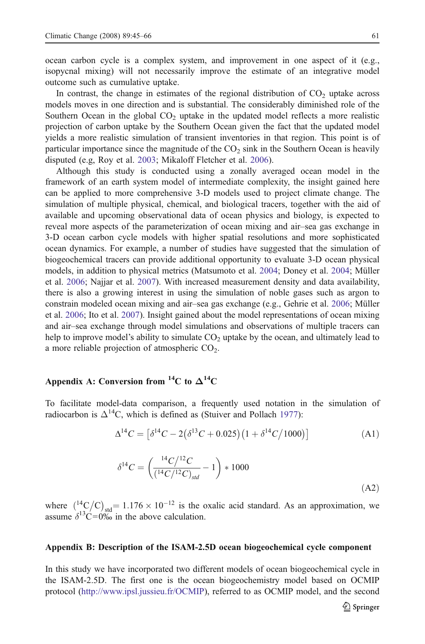ocean carbon cycle is a complex system, and improvement in one aspect of it (e.g., isopycnal mixing) will not necessarily improve the estimate of an integrative model outcome such as cumulative uptake.

In contrast, the change in estimates of the regional distribution of  $CO<sub>2</sub>$  uptake across models moves in one direction and is substantial. The considerably diminished role of the Southern Ocean in the global  $CO<sub>2</sub>$  uptake in the updated model reflects a more realistic projection of carbon uptake by the Southern Ocean given the fact that the updated model yields a more realistic simulation of transient inventories in that region. This point is of particular importance since the magnitude of the  $CO<sub>2</sub>$  sink in the Southern Ocean is heavily disputed (e.g, Roy et al. [2003](#page-20-0); Mikaloff Fletcher et al. [2006\)](#page-20-0).

Although this study is conducted using a zonally averaged ocean model in the framework of an earth system model of intermediate complexity, the insight gained here can be applied to more comprehensive 3-D models used to project climate change. The simulation of multiple physical, chemical, and biological tracers, together with the aid of available and upcoming observational data of ocean physics and biology, is expected to reveal more aspects of the parameterization of ocean mixing and air–sea gas exchange in 3-D ocean carbon cycle models with higher spatial resolutions and more sophisticated ocean dynamics. For example, a number of studies have suggested that the simulation of biogeochemical tracers can provide additional opportunity to evaluate 3-D ocean physical models, in addition to physical metrics (Matsumoto et al. [2004](#page-20-0); Doney et al. [2004;](#page-19-0) Müller et al. [2006;](#page-20-0) Najjar et al. [2007](#page-20-0)). With increased measurement density and data availability, there is also a growing interest in using the simulation of noble gases such as argon to constrain modeled ocean mixing and air–sea gas exchange (e.g., Gehrie et al. [2006;](#page-19-0) Müller et al. [2006;](#page-20-0) Ito et al. [2007](#page-19-0)). Insight gained about the model representations of ocean mixing and air–sea exchange through model simulations and observations of multiple tracers can help to improve model's ability to simulate  $CO<sub>2</sub>$  uptake by the ocean, and ultimately lead to a more reliable projection of atmospheric CO<sub>2</sub>.

# Appendix A: Conversion from <sup>14</sup>C to  $\Delta^{14}C$

To facilitate model-data comparison, a frequently used notation in the simulation of radiocarbon is  $\Delta^{14}$ C, which is defined as (Stuiver and Pollach [1977](#page-21-0)):

$$
\Delta^{14}C = \left[\delta^{14}C - 2(\delta^{13}C + 0.025)(1 + \delta^{14}C/1000)\right]
$$
(A1)

$$
\delta^{14}C = \left(\frac{^{14}C/^{12}C}{(^{14}C/^{12}C)_{std}} - 1\right) * 1000
$$
\n(A2)

where  $\binom{14}{12}$ C/C)<sub>std</sub> = 1.176 × 10<sup>-12</sup> is the oxalic acid standard. As an approximation, we assume  $\delta^{13}C = 0\%$  in the above calculation.

#### Appendix B: Description of the ISAM-2.5D ocean biogeochemical cycle component

<span id="page-16-0"></span>In this study we have incorporated two different models of ocean biogeochemical cycle in the ISAM-2.5D. The first one is the ocean biogeochemistry model based on OCMIP protocol [\(http://www.ipsl.jussieu.fr/OCMIP](http://www.ipsl.jussieu.fr/OCMIP)), referred to as OCMIP model, and the second

 $\mathcal{Q}$  Springer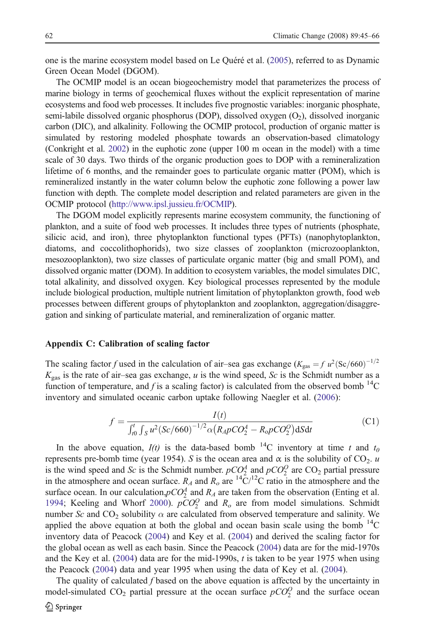one is the marine ecosystem model based on Le Quéré et al. [\(2005](#page-20-0)), referred to as Dynamic Green Ocean Model (DGOM).

The OCMIP model is an ocean biogeochemistry model that parameterizes the process of marine biology in terms of geochemical fluxes without the explicit representation of marine ecosystems and food web processes. It includes five prognostic variables: inorganic phosphate, semi-labile dissolved organic phosphorus (DOP), dissolved oxygen  $(O<sub>2</sub>)$ , dissolved inorganic carbon (DIC), and alkalinity. Following the OCMIP protocol, production of organic matter is simulated by restoring modeled phosphate towards an observation-based climatology (Conkright et al. [2002](#page-19-0)) in the euphotic zone (upper 100 m ocean in the model) with a time scale of 30 days. Two thirds of the organic production goes to DOP with a remineralization lifetime of 6 months, and the remainder goes to particulate organic matter (POM), which is remineralized instantly in the water column below the euphotic zone following a power law function with depth. The complete model description and related parameters are given in the OCMIP protocol ([http://www.ipsl.jussieu.fr/OCMIP\)](http://www.ipsl.jussieu.fr/OCMIP).

The DGOM model explicitly represents marine ecosystem community, the functioning of plankton, and a suite of food web processes. It includes three types of nutrients (phosphate, silicic acid, and iron), three phytoplankton functional types (PFTs) (nanophytoplankton, diatoms, and coccolithophorids), two size classes of zooplankton (microzooplankton, mesozooplankton), two size classes of particulate organic matter (big and small POM), and dissolved organic matter (DOM). In addition to ecosystem variables, the model simulates DIC, total alkalinity, and dissolved oxygen. Key biological processes represented by the module include biological production, multiple nutrient limitation of phytoplankton growth, food web processes between different groups of phytoplankton and zooplankton, aggregation/disaggregation and sinking of particulate material, and remineralization of organic matter.

# Appendix C: Calibration of scaling factor

The scaling factor f used in the calculation of air–sea gas exchange  $(K_{\text{gas}} = f u^2 (\text{Sc}/660)^{-1/2}$  $K_{\rm gas}$  is the rate of air–sea gas exchange, u is the wind speed, Sc is the Schmidt number as a function of temperature, and f is a scaling factor) is calculated from the observed bomb  $^{14}$ C inventory and simulated oceanic carbon uptake following Naegler et al. ([2006\)](#page-20-0):

$$
f = \frac{I(t)}{\int_{t0}^{t} \int_{S} u^{2} (Sc/660)^{-1/2} \alpha (R_{A} p C O_{2}^{A} - R_{o} p C O_{2}^{O}) dS dt}
$$
(C1)

In the above equation,  $I(t)$  is the data-based bomb <sup>14</sup>C inventory at time t and  $t_0$ represents pre-bomb time (year 1954). S is the ocean area and  $\alpha$  is the solubility of CO<sub>2</sub>. u is the wind speed and Sc is the Schmidt number.  $pCO_2^4$  and  $pCO_2^0$  are CO<sub>2</sub> partial pressure in the atmosphere and ocean surface.  $R_A$  and  $R_o$  are  $14C/12C$  ratio in the atmosphere and the surface ocean. In our calculation,  $pCO_2^4$  and  $R_A$  are taken from the observation (Enting et al. [1994;](#page-19-0) Keeling and Whorf [2000\)](#page-19-0).  $pCO_2^O$  and  $R_o$  are from model simulations. Schmidt number Sc and CO<sub>2</sub> solubility  $\alpha$  are calculated from observed temperature and salinity. We applied the above equation at both the global and ocean basin scale using the bomb  $^{14}$ C inventory data of Peacock [\(2004](#page-20-0)) and Key et al. [\(2004](#page-19-0)) and derived the scaling factor for the global ocean as well as each basin. Since the Peacock ([2004\)](#page-20-0) data are for the mid-1970s and the Key et al. ([2004\)](#page-19-0) data are for the mid-1990s,  $t$  is taken to be year 1975 when using the Peacock ([2004\)](#page-20-0) data and year 1995 when using the data of Key et al. ([2004](#page-19-0)).

<span id="page-17-0"></span>The quality of calculated f based on the above equation is affected by the uncertainty in model-simulated  $CO_2$  partial pressure at the ocean surface  $pCO_2^O$  and the surface ocean  $\mathcal{D}$  Springer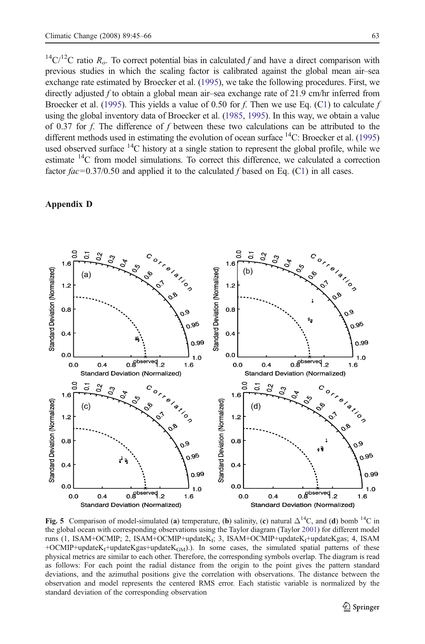<sup>14</sup>C/<sup>12</sup>C ratio  $R_o$ . To correct potential bias in calculated f and have a direct comparison with previous studies in which the scaling factor is calibrated against the global mean air–sea exchange rate estimated by Broecker et al. ([1995](#page-19-0)), we take the following procedures. First, we directly adjusted f to obtain a global mean air–sea exchange rate of 21.9 cm/hr inferred from Broecker et al. [\(1995\)](#page-19-0). This yields a value of 0.50 for f. Then we use Eq. ([C1\)](#page-17-0) to calculate f using the global inventory data of Broecker et al. [\(1985](#page-19-0), [1995](#page-19-0)). In this way, we obtain a value of 0.37 for  $f$ . The difference of  $f$  between these two calculations can be attributed to the different methods used in estimating the evolution of ocean surface  ${}^{14}C$ : Broecker et al. [\(1995\)](#page-19-0) used observed surface  $14C$  history at a single station to represent the global profile, while we estimate  $14$ C from model simulations. To correct this difference, we calculated a correction factor  $fac = 0.37/0.50$  and applied it to the calculated f based on Eq. ([C1\)](#page-17-0) in all cases.

# Appendix D



<span id="page-18-0"></span>**Fig. 5** Comparison of model-simulated (a) temperature, (b) salinity, (c) natural  $\Delta^{14}C$ , and (d) bomb  $^{14}C$  in the global ocean with corresponding observations using the Taylor diagram (Taylor [2001](#page-21-0)) for different model runs (1, ISAM+OCMIP; 2, ISAM+OCMIP+updateK<sub>I</sub>; 3, ISAM+OCMIP+updateK<sub>1</sub>+updateKgas; 4, ISAM  $+OCMIP+updateK<sub>1</sub>+updateK<sub>gas</sub>+updateK<sub>GM</sub>)$ . In some cases, the simulated spatial patterns of these physical metrics are similar to each other. Therefore, the corresponding symbols overlap. The diagram is read as follows: For each point the radial distance from the origin to the point gives the pattern standard deviations, and the azimuthal positions give the correlation with observations. The distance between the observation and model represents the centered RMS error. Each statistic variable is normalized by the standard deviation of the corresponding observation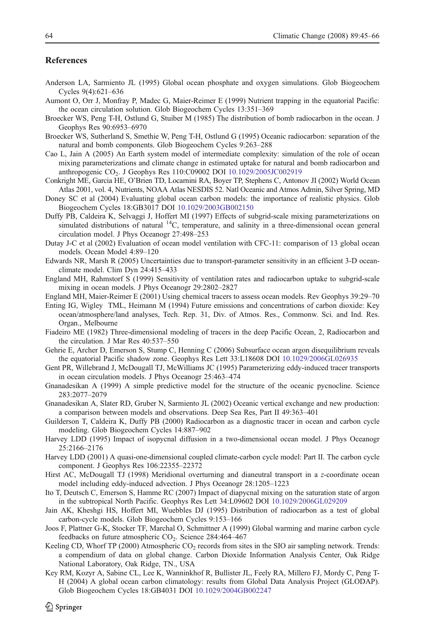# **References**

- Anderson LA, Sarmiento JL (1995) Global ocean phosphate and oxygen simulations. Glob Biogeochem Cycles 9(4):621–636
- Aumont O, Orr J, Monfray P, Madec G, Maier-Reimer E (1999) Nutrient trapping in the equatorial Pacific: the ocean circulation solution. Glob Biogeochem Cycles 13:351–369
- Broecker WS, Peng T-H, Ostlund G, Stuiber M (1985) The distribution of bomb radiocarbon in the ocean. J Geophys Res 90:6953–6970
- Broecker WS, Sutherland S, Smethie W, Peng T-H, Ostlund G (1995) Oceanic radiocarbon: separation of the natural and bomb components. Glob Biogeochem Cycles 9:263–288
- Cao L, Jain A (2005) An Earth system model of intermediate complexity: simulation of the role of ocean mixing parameterizations and climate change in estimated uptake for natural and bomb radiocarbon and anthropogenic CO<sub>2</sub>. J Geophys Res 110:C09002 DOI [10.1029/2005JC002919](http://dx.doi.org/10.1029/2005JC002919)
- Conkright ME, Garcia HE, O'Brien TD, Locarnini RA, Boyer TP, Stephens C, Antonov JI (2002) World Ocean Atlas 2001, vol. 4, Nutrients, NOAA Atlas NESDIS 52. Natl Oceanic and Atmos Admin, Silver Spring, MD
- Doney SC et al (2004) Evaluating global ocean carbon models: the importance of realistic physics. Glob Biogeochem Cycles 18:GB3017 DOI [10.1029/2003GB002150](http://dx.doi.org/10.1029/2003GB002150)
- Duffy PB, Caldeira K, Selvaggi J, Hoffert MI (1997) Effects of subgrid-scale mixing parameterizations on simulated distributions of natural  $^{14}C$ , temperature, and salinity in a three-dimensional ocean general circulation model. J Phys Oceanogr 27:498–253
- Dutay J-C et al (2002) Evaluation of ocean model ventilation with CFC-11: comparison of 13 global ocean models. Ocean Model 4:89–120
- Edwards NR, Marsh R (2005) Uncertainties due to transport-parameter sensitivity in an efficient 3-D oceanclimate model. Clim Dyn 24:415–433
- England MH, Rahmstorf S (1999) Sensitivity of ventilation rates and radiocarbon uptake to subgrid-scale mixing in ocean models. J Phys Oceanogr 29:2802–2827
- England MH, Maier-Reimer E (2001) Using chemical tracers to assess ocean models. Rev Geophys 39:29–70
- Enting IG, Wigley TML, Heimann M (1994) Future emissions and concentrations of carbon dioxide: Key ocean/atmosphere/land analyses, Tech. Rep. 31, Div. of Atmos. Res., Commonw. Sci. and Ind. Res. Organ., Melbourne
- Fiadeiro ME (1982) Three-dimensional modeling of tracers in the deep Pacific Ocean, 2, Radiocarbon and the circulation. J Mar Res 40:537–550
- Gehrie E, Archer D, Emerson S, Stump C, Henning C (2006) Subsurface ocean argon disequilibrium reveals the equatorial Pacific shadow zone. Geophys Res Lett 33:L18608 DOI [10.1029/2006GL026935](http://dx.doi.org/10.1029/2006GL026935)
- Gent PR, Willebrand J, McDougall TJ, McWilliams JC (1995) Parameterizing eddy-induced tracer transports in ocean circulation models. J Phys Oceanogr 25:463–474
- Gnanadesikan A (1999) A simple predictive model for the structure of the oceanic pycnocline. Science 283:2077–2079
- Gnanadesikan A, Slater RD, Gruber N, Sarmiento JL (2002) Oceanic vertical exchange and new production: a comparison between models and observations. Deep Sea Res, Part II 49:363–401
- Guilderson T, Caldeira K, Duffy PB (2000) Radiocarbon as a diagnostic tracer in ocean and carbon cycle modeling. Glob Biogeochem Cycles 14:887–902
- Harvey LDD (1995) Impact of isopycnal diffusion in a two-dimensional ocean model. J Phys Oceanogr 25:2166–2176
- Harvey LDD (2001) A quasi-one-dimensional coupled climate-carbon cycle model: Part II. The carbon cycle component. J Geophys Res 106:22355–22372
- Hirst AC, McDougall TJ (1998) Meridional overturning and dianeutral transport in a z-coordinate ocean model including eddy-induced advection. J Phys Oceanogr 28:1205–1223
- Ito T, Deutsch C, Emerson S, Hamme RC (2007) Impact of diapycnal mixing on the saturation state of argon in the subtropical North Pacific. Geophys Res Lett 34:L09602 DOI [10.1029/2006GL029209](http://dx.doi.org/10.1029/2006GL029209)
- Jain AK, Kheshgi HS, Hoffert MI, Wuebbles DJ (1995) Distribution of radiocarbon as a test of global carbon-cycle models. Glob Biogeochem Cycles 9:153–166
- Joos F, Plattner G-K, Stocker TF, Marchal O, Schmittner A (1999) Global warming and marine carbon cycle feedbacks on future atmospheric  $CO<sub>2</sub>$ . Science 284:464-467
- Keeling CD, Whorf TP (2000) Atmospheric  $CO<sub>2</sub>$  records from sites in the SIO air sampling network. Trends: a compendium of data on global change. Carbon Dioxide Information Analysis Center, Oak Ridge National Laboratory, Oak Ridge, TN., USA
- Key RM, Kozyr A, Sabine CL, Lee K, Wanninkhof R, Bullister JL, Feely RA, Millero FJ, Mordy C, Peng T-H (2004) A global ocean carbon climatology: results from Global Data Analysis Project (GLODAP). Glob Biogeochem Cycles 18:GB4031 DOI [10.1029/2004GB002247](http://dx.doi.org/10.1029/2004GB002247)

<span id="page-19-0"></span> $\mathcal{Q}$  Springer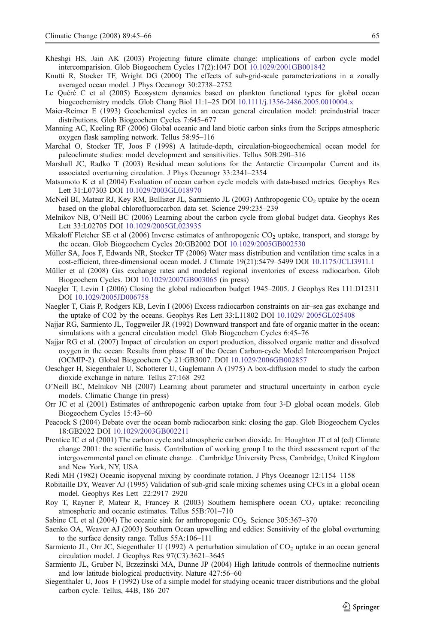- Kheshgi HS, Jain AK (2003) Projecting future climate change: implications of carbon cycle model intercomparision. Glob Biogeochem Cycles 17(2):1047 DOI [10.1029/2001GB001842](http://dx.doi.org/10.1029/2001GB001842)
- Knutti R, Stocker TF, Wright DG (2000) The effects of sub-grid-scale parameterizations in a zonally averaged ocean model. J Phys Oceanogr 30:2738–2752
- Le Quéré C et al (2005) Ecosystem dynamics based on plankton functional types for global ocean biogeochemistry models. Glob Chang Biol 11:1–25 DOI [10.1111/j.1356-2486.2005.0010004.x](http://dx.doi.org/10.1111/j.1356-2486.2005.0010004.x)
- Maier-Reimer E (1993) Geochemical cycles in an ocean general circulation model: preindustrial tracer distributions. Glob Biogeochem Cycles 7:645–677
- Manning AC, Keeling RF (2006) Global oceanic and land biotic carbon sinks from the Scripps atmospheric oxygen flask sampling network. Tellus 58:95–116
- Marchal O, Stocker TF, Joos F (1998) A latitude-depth, circulation-biogeochemical ocean model for paleoclimate studies: model development and sensitivities. Tellus 50B:290–316
- Marshall JC, Radko T (2003) Residual mean solutions for the Antarctic Circumpolar Current and its associated overturning circulation. J Phys Oceanogr 33:2341–2354
- Matsumoto K et al (2004) Evaluation of ocean carbon cycle models with data-based metrics. Geophys Res Lett 31:L07303 DOI [10.1029/2003GL018970](http://dx.doi.org/10.1029/2003GL018970)
- McNeil BI, Matear RJ, Key RM, Bullister JL, Sarmiento JL (2003) Anthropogenic CO<sub>2</sub> uptake by the ocean based on the global chlorofluorocarbon data set. Science 299:235–239
- Melnikov NB, O'Neill BC (2006) Learning about the carbon cycle from global budget data. Geophys Res Lett 33:L02705 DOI [10.1029/2005GL023935](http://dx.doi.org/10.1029/2005GL023935)
- Mikaloff Fletcher SE et al (2006) Inverse estimates of anthropogenic CO<sub>2</sub> uptake, transport, and storage by the ocean. Glob Biogeochem Cycles 20:GB2002 DOI [10.1029/2005GB002530](http://dx.doi.org/10.1029/2005GB002530)
- Müller SA, Joos F, Edwards NR, Stocker TF (2006) Water mass distribution and ventilation time scales in a cost-efficient, three-dimensional ocean model. J Climate 19(21):5479–5499 DOI [10.1175/JCLI3911.1](http://dx.doi.org/10.1175/JCLI3911.1)
- Müller et al (2008) Gas exchange rates and modeled regional inventories of excess radiocarbon. Glob Biogeochem Cycles. DOI [10.1029/2007GB003065](http://dx.doi.org/10.1029/2007GB003065) (in press)
- Naegler T, Levin I (2006) Closing the global radiocarbon budget 1945–2005. J Geophys Res 111:D12311 DOI [10.1029/2005JD006758](http://dx.doi.org/10.1029/2005JD006758)
- Naegler T, Ciais P, Rodgers KB, Levin I (2006) Excess radiocarbon constraints on air–sea gas exchange and the uptake of CO2 by the oceans. Geophys Res Lett 33:L11802 DOI [10.1029/ 2005GL025408](http://dx.doi.org/10.1029/%202005GL025408)
- Najjar RG, Sarmiento JL, Toggweiler JR (1992) Downward transport and fate of organic matter in the ocean: simulations with a general circulation model. Glob Biogeochem Cycles 6:45–76
- Najjar RG et al. (2007) Impact of circulation on export production, dissolved organic matter and dissolved oxygen in the ocean: Results from phase II of the Ocean Carbon-cycle Model Intercomparison Project (OCMIP-2). Global Biogeochem Cy 21:GB3007. DOI [10.1029/2006GB002857](http://dx.doi.org/10.1029/2006GB002857)
- Oeschger H, Siegenthaler U, Schotterer U, Guglemann A (1975) A box-diffusion model to study the carbon dioxide exchange in nature. Tellus 27:168–292
- O'Neill BC, Melnikov NB (2007) Learning about parameter and structural uncertainty in carbon cycle models. Climatic Change (in press)
- Orr JC et al (2001) Estimates of anthropogenic carbon uptake from four 3-D global ocean models. Glob Biogeochem Cycles 15:43–60
- Peacock S (2004) Debate over the ocean bomb radiocarbon sink: closing the gap. Glob Biogeochem Cycles 18:GB2022 DOI [10.1029/2003GB002211](http://dx.doi.org/10.1029/2003GB002211)
- Prentice IC et al (2001) The carbon cycle and atmospheric carbon dioxide. In: Houghton JT et al (ed) Climate change 2001: the scientific basis. Contribution of working group I to the third assessment report of the intergovernmental panel on climate change. . Cambridge University Press, Cambridge, United Kingdom and New York, NY, USA
- Redi MH (1982) Oceanic isopycnal mixing by coordinate rotation. J Phys Oceanogr 12:1154–1158
- Robitaille DY, Weaver AJ (1995) Validation of sub-grid scale mixing schemes using CFCs in a global ocean model. Geophys Res Lett 22:2917–2920
- Roy T, Rayner P, Matear R, Francey R (2003) Southern hemisphere ocean  $CO<sub>2</sub>$  uptake: reconciling atmospheric and oceanic estimates. Tellus 55B:701–710
- Sabine CL et al  $(2004)$  The oceanic sink for anthropogenic CO<sub>2</sub>. Science  $305:367-370$
- Saenko OA, Weaver AJ (2003) Southern Ocean upwelling and eddies: Sensitivity of the global overturning to the surface density range. Tellus 55A:106–111
- Sarmiento JL, Orr JC, Siegenthaler U (1992) A perturbation simulation of CO<sub>2</sub> uptake in an ocean general circulation model. J Geophys Res 97(C3):3621–3645
- Sarmiento JL, Gruber N, Brzezinski MA, Dunne JP (2004) High latitude controls of thermocline nutrients and low latitude biological productivity. Nature 427:56–60
- <span id="page-20-0"></span>Siegenthaler U, Joos F (1992) Use of a simple model for studying oceanic tracer distributions and the global carbon cycle. Tellus, 44B, 186–207